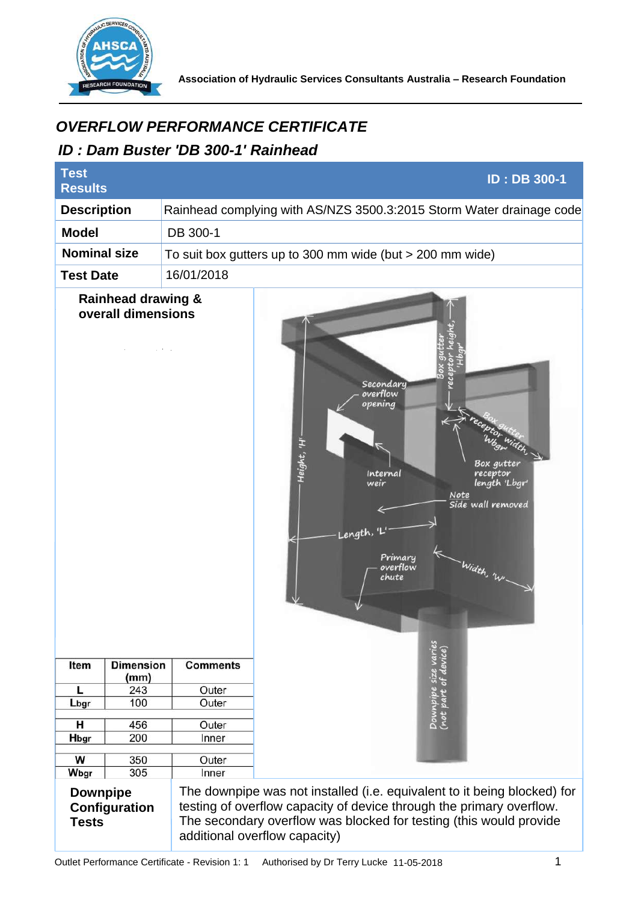

**Association of Hydraulic Services Consultants Australia – Research Foundation** 

## *ID : Dam Buster 'DB 300-1' Rainhead*

| <i><b>OVERFLOW PERFORMANCE CERTIFICATE</b></i><br>ID: Dam Buster 'DB 300-1' Rainhead |                          |                                                             |                                                                                                                                                                                                                                                         |
|--------------------------------------------------------------------------------------|--------------------------|-------------------------------------------------------------|---------------------------------------------------------------------------------------------------------------------------------------------------------------------------------------------------------------------------------------------------------|
| <b>Test</b><br><b>ID: DB 300-1</b><br><b>Results</b>                                 |                          |                                                             |                                                                                                                                                                                                                                                         |
| <b>Description</b>                                                                   |                          |                                                             | Rainhead complying with AS/NZS 3500.3:2015 Storm Water drainage code                                                                                                                                                                                    |
| <b>Model</b>                                                                         |                          | DB 300-1                                                    |                                                                                                                                                                                                                                                         |
| <b>Nominal size</b>                                                                  |                          | To suit box gutters up to 300 mm wide (but $>$ 200 mm wide) |                                                                                                                                                                                                                                                         |
| <b>Test Date</b>                                                                     |                          | 16/01/2018                                                  |                                                                                                                                                                                                                                                         |
| <b>Rainhead drawing &amp;</b><br>overall dimensions                                  |                          | <b>Comments</b>                                             | Secondary<br>overflow<br>opening<br>Height, 'H'<br>Box qutter<br>Internal<br>receptor<br>length 'Lbgr'<br>weir<br>Note<br>Side wall removed<br>Length,<br>Primary<br>- Width, 'WI-<br>overflow<br>chute<br>Downpipe size varies<br>(not part of device) |
| Item                                                                                 | <b>Dimension</b><br>(mm) |                                                             |                                                                                                                                                                                                                                                         |
| L                                                                                    | 243                      | Outer                                                       |                                                                                                                                                                                                                                                         |
| Lbgr                                                                                 | 100                      | Outer                                                       |                                                                                                                                                                                                                                                         |
| н                                                                                    | 456                      | Outer                                                       |                                                                                                                                                                                                                                                         |
| Hbgr                                                                                 | 200                      | Inner                                                       |                                                                                                                                                                                                                                                         |
| W                                                                                    | 350                      | Outer                                                       |                                                                                                                                                                                                                                                         |
| Wbgr                                                                                 | 305                      | Inner                                                       |                                                                                                                                                                                                                                                         |
| <b>Downpipe</b><br>Configuration<br><b>Tests</b>                                     |                          |                                                             | The downpipe was not installed (i.e. equivalent to it being blocked) for<br>testing of overflow capacity of device through the primary overflow.<br>The secondary overflow was blocked for testing (this would provide<br>additional overflow capacity) |